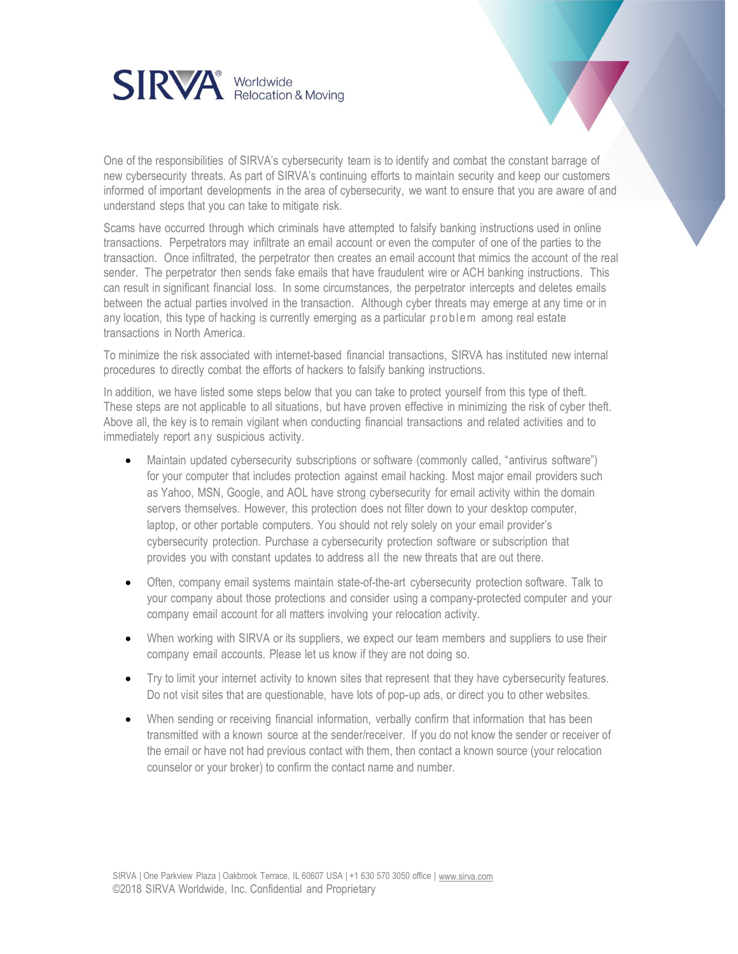

One of the responsibilities of SIRVA's cybersecurity team is to identify and combat the constant barrage of new cybersecurity threats. As part of SIRVA's continuing efforts to maintain security and keep our customers informed of important developments in the area of cybersecurity, we want to ensure that you are aware of and understand steps that you can take to mitigate risk.

Scams have occurred through which criminals have attempted to falsify banking instructions used in online transactions. Perpetrators may infiltrate an email account or even the computer of one of the parties to the transaction. Once infiltrated, the perpetrator then creates an email account that mimics the account of the real sender. The perpetrator then sends fake emails that have fraudulent wire or ACH banking instructions. This can result in significant financial loss. In some circumstances, the perpetrator intercepts and deletes emails between the actual parties involved in the transaction. Although cyber threats may emerge at any time or in any location, this type of hacking is currently emerging as a particular problem among real estate transactions in North America.

To minimize the risk associated with internet-based financial transactions, SIRVA has instituted new internal procedures to directly combat the efforts of hackers to falsify banking instructions.

In addition, we have listed some steps below that you can take to protect yourself from this type of theft. These steps are not applicable to all situations, but have proven effective in minimizing the risk of cyber theft. Above all, the key is to remain vigilant when conducting financial transactions and related activities and to immediately report any suspicious activity.

- Maintain updated cybersecurity subscriptions or software (commonly called, "antivirus software") for your computer that includes protection against email hacking. Most major email providers such as Yahoo, MSN, Google, and AOL have strong cybersecurity for email activity within the domain servers themselves. However, this protection does not filter down to your desktop computer, laptop, or other portable computers. You should not rely solely on your email provider's cybersecurity protection. Purchase a cybersecurity protection software or subscription that provides you with constant updates to address all the new threats that are out there.
- Often, company email systems maintain state-of-the-art cybersecurity protection software. Talk to your company about those protections and consider using a company-protected computer and your company email account for all matters involving your relocation activity.
- When working with SIRVA or its suppliers, we expect our team members and suppliers to use their company email accounts. Please let us know if they are not doing so.
- Try to limit your internet activity to known sites that represent that they have cybersecurity features. Do not visit sites that are questionable, have lots of pop-up ads, or direct you to other websites.
- When sending or receiving financial information, verbally confirm that information that has been transmitted with a known source at the sender/receiver. If you do not know the sender or receiver of the email or have not had previous contact with them, then contact a known source (your relocation counselor or your broker) to confirm the contact name and number.